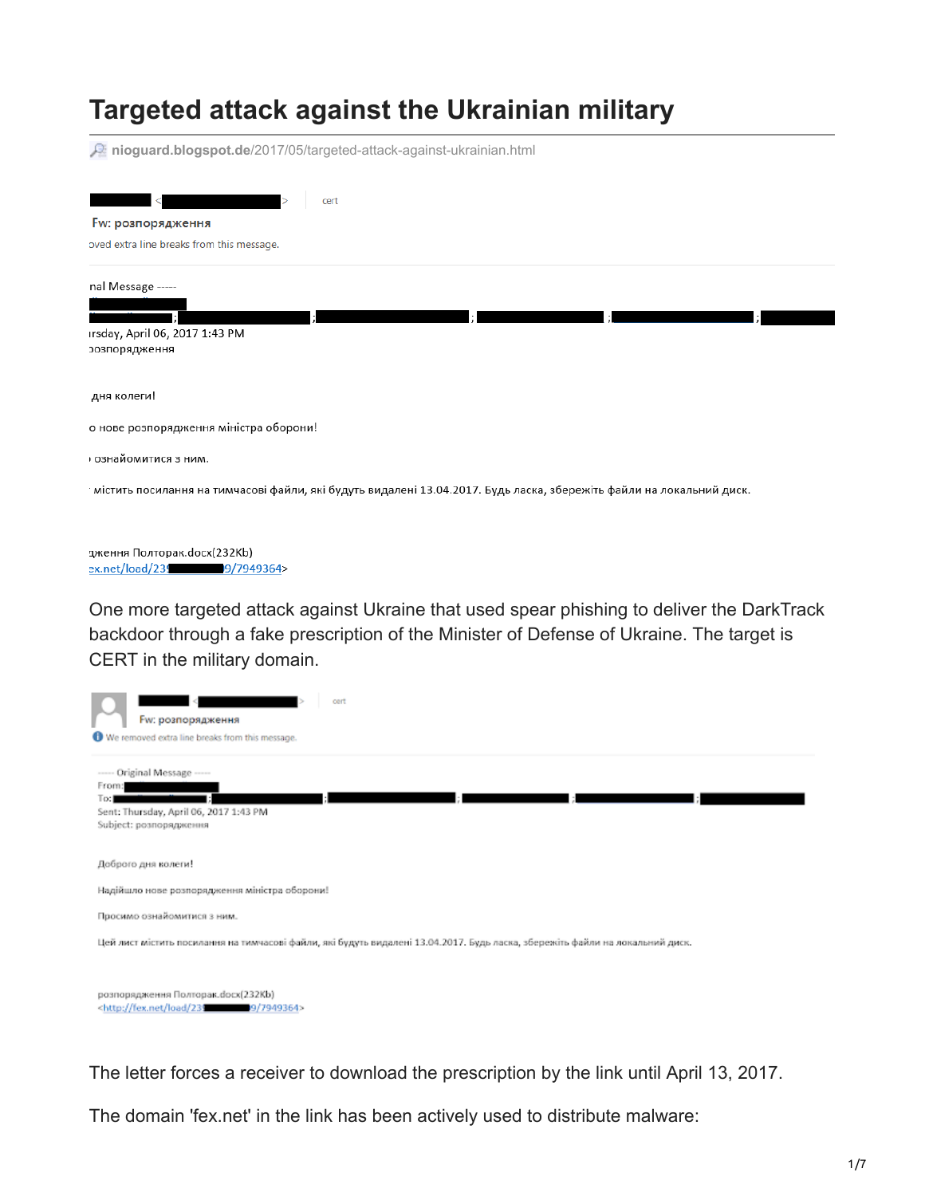## **Targeted attack against the Ukrainian military**

**nioguard.blogspot.de**[/2017/05/targeted-attack-against-ukrainian.html](https://nioguard.blogspot.de/2017/05/targeted-attack-against-ukrainian.html)

| cert<br>≺                                                                                                             |  |  |  |  |  |  |  |  |
|-----------------------------------------------------------------------------------------------------------------------|--|--|--|--|--|--|--|--|
| Fw: розпорядження                                                                                                     |  |  |  |  |  |  |  |  |
| oved extra line breaks from this message.                                                                             |  |  |  |  |  |  |  |  |
| nal Message -----                                                                                                     |  |  |  |  |  |  |  |  |
|                                                                                                                       |  |  |  |  |  |  |  |  |
| ırsday, April 06, 2017 1:43 PM                                                                                        |  |  |  |  |  |  |  |  |
| эозпорядження                                                                                                         |  |  |  |  |  |  |  |  |
|                                                                                                                       |  |  |  |  |  |  |  |  |
| дня колеги!                                                                                                           |  |  |  |  |  |  |  |  |
| о нове розпорядження міністра оборони!                                                                                |  |  |  |  |  |  |  |  |
| ознайомитися з ним.                                                                                                   |  |  |  |  |  |  |  |  |
| ∙містить посилання на тимчасові файли, які будуть видалені 13.04.2017. Будь ласка, збережіть файли на локальний диск. |  |  |  |  |  |  |  |  |
|                                                                                                                       |  |  |  |  |  |  |  |  |
| дження Полторак.docx(232Kb)                                                                                           |  |  |  |  |  |  |  |  |
| ex.net/load/239 9/7949364>                                                                                            |  |  |  |  |  |  |  |  |

One more targeted attack against Ukraine that used spear phishing to deliver the DarkTrack backdoor through a fake prescription of the Minister of Defense of Ukraine. The target is CERT in the military domain.

| cert<br>Fw: розпорядження                                                                                                     |
|-------------------------------------------------------------------------------------------------------------------------------|
| We removed extra line breaks from this message.                                                                               |
| ----- Original Message -----<br>From:<br>To:                                                                                  |
| Sent: Thursday, April 06, 2017 1:43 PM<br>Subject: розпорядження                                                              |
| Доброго дня колеги!                                                                                                           |
| Надійшло нове розпорядження міністра оборони!                                                                                 |
| Просимо ознайомитися з ним.                                                                                                   |
| Цей лист містить посилання на тимчасові файли, які будуть видалені 13.04.2017. Будь ласка, збережіть файли на локальний диск. |
|                                                                                                                               |
| розпорядження Полторак.docx(232Kb)<br><http: 239="" 7949364="" 9="" fex.net="" load=""></http:>                               |

The letter forces a receiver to download the prescription by the link until April 13, 2017.

The domain 'fex.net' in the link has been actively used to distribute malware: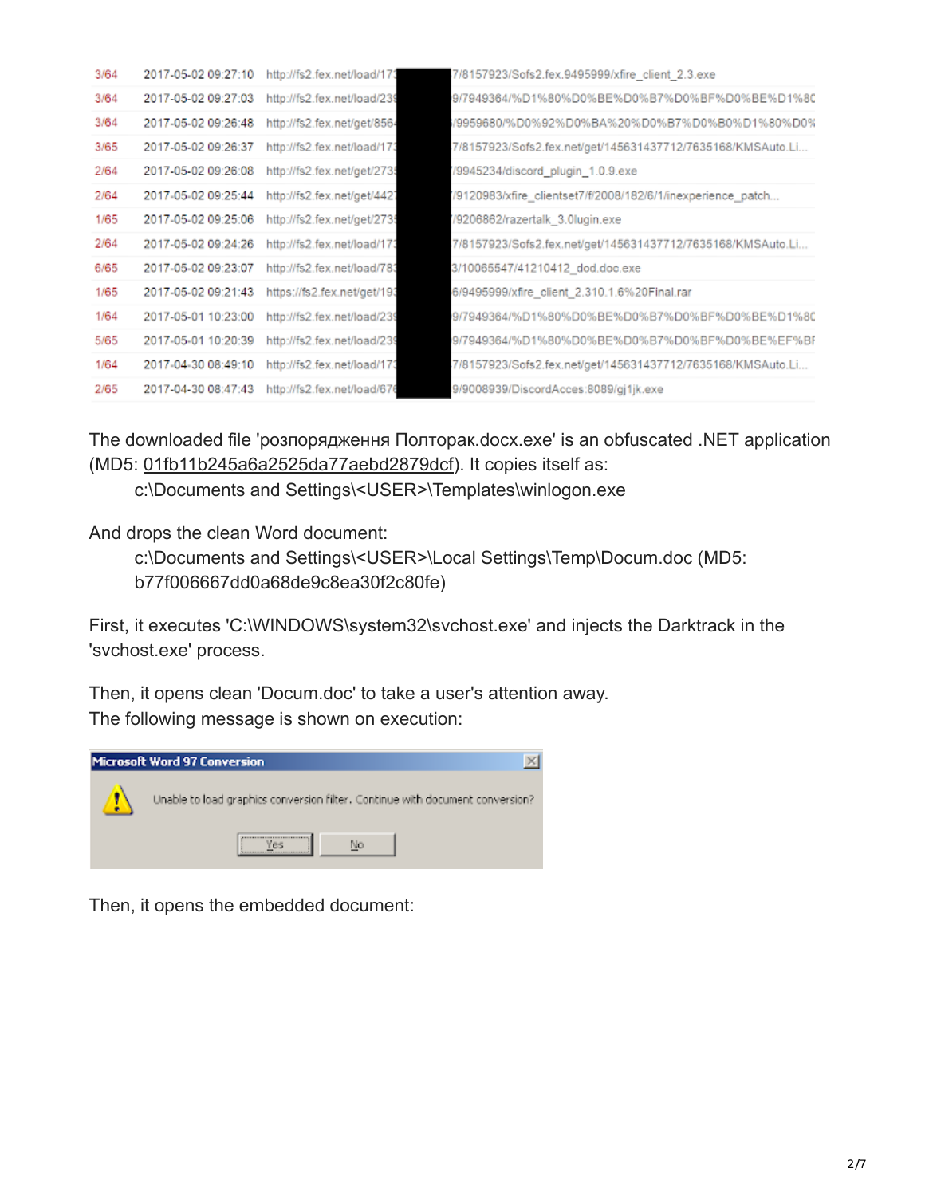| 3/64 | 2017-05-02 09:27:10 | http://fs2.fex.net/load/173 | 7/8157923/Sofs2.fex.9495999/xfire_client_2.3.exe            |
|------|---------------------|-----------------------------|-------------------------------------------------------------|
| 3/64 | 2017-05-02 09:27:03 | http://fs2.fex.net/load/239 | 9/7949364/%D1%80%D0%BE%D0%B7%D0%BF%D0%BE%D1%80              |
| 3/64 | 2017-05-02 09:26:48 | http://fs2.fex.net/get/8564 | 79959680/%D0%92%D0%BA%20%D0%B7%D0%B0%D1%80%D0%              |
| 3/65 | 2017-05-02 09:26:37 | http://fs2.fex.net/load/173 | 7/8157923/Sofs2.fex.net/get/145631437712/7635168/KMSAuto.Li |
| 2/64 | 2017-05-02 09:26:08 | http://fs2.fex.net/get/2735 | /9945234/discord plugin 1.0.9.exe                           |
| 2/64 | 2017-05-02 09:25:44 | http://fs2.fex.net/get/4427 | /9120983/xfire_clientset7/f/2008/182/6/1/inexperience_patch |
| 1/65 | 2017-05-02 09:25:06 | http://fs2.fex.net/get/2739 | //9206862/razertalk 3.0lugin.exe                            |
| 2/64 | 2017-05-02 09:24:26 | http://fs2.fex.net/load/173 | 7/8157923/Sofs2.fex.net/get/145631437712/7635168/KMSAuto.Li |
| 6/65 | 2017-05-02 09:23:07 | http://fs2.fex.net/load/783 | 3/10065547/41210412 dod.doc.exe                             |
| 1/65 | 2017-05-02 09:21:43 | https://fs2.fex.net/get/193 | 6/9495999/xfire_client_2.310.1.6%20Final.rar                |
| 1/64 | 2017-05-01 10:23:00 | http://fs2.fex.net/load/239 | 9/7949364/%D1%80%D0%BE%D0%B7%D0%BF%D0%BE%D1%80              |
| 5/65 | 2017-05-01 10:20:39 | http://fs2.fex.net/load/239 | 9/7949364/%D1%80%D0%BE%D0%B7%D0%BF%D0%BE%EF%BF              |
| 1/64 | 2017-04-30 08:49:10 | http://fs2.fex.net/load/173 | 7/8157923/Sofs2.fex.net/get/145631437712/7635168/KMSAuto.Li |
| 2/65 | 2017-04-30 08:47:43 | http://fs2.fex.net/load/676 | 9/9008939/DiscordAcces:8089/gj1jk.exe                       |

The downloaded file 'розпорядження Полторак.docx.exe' is an obfuscated .NET application (MD5: [01fb11b245a6a2525da77aebd2879dcf](https://www.virustotal.com/ru/file/e9c9c84aa83e908c0e978c5c8f9a03c665fc559ee6b9d511c911ac9abc61326c/analysis/)). It copies itself as:

c:\Documents and Settings\<USER>\Templates\winlogon.exe

And drops the clean Word document:

c:\Documents and Settings\<USER>\Local Settings\Temp\Docum.doc (MD5: b77f006667dd0a68de9c8ea30f2c80fe)

First, it executes 'C:\WINDOWS\system32\svchost.exe' and injects the Darktrack in the 'svchost.exe' process.

Then, it opens clean 'Docum.doc' to take a user's attention away. The following message is shown on execution:



Then, it opens the embedded document: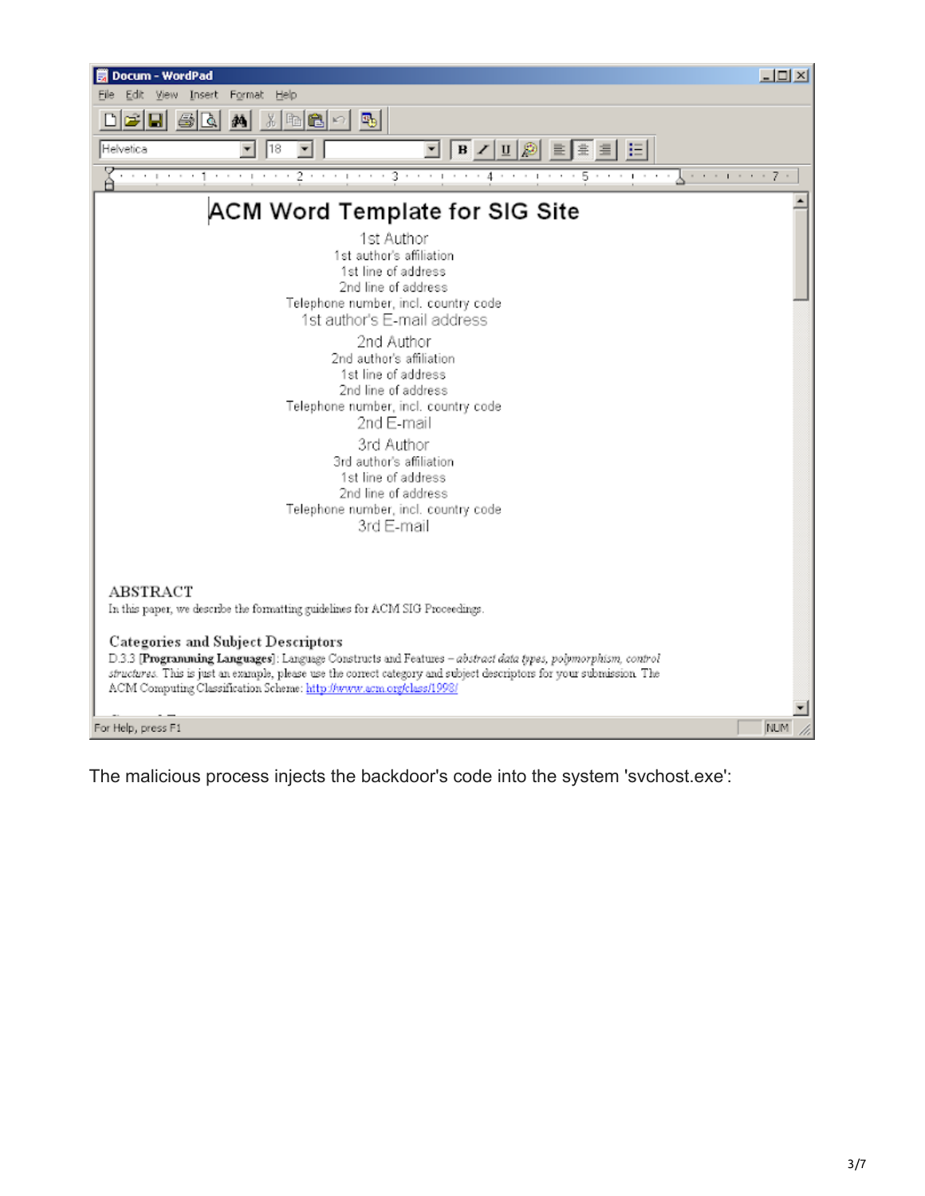

The malicious process injects the backdoor's code into the system 'svchost.exe':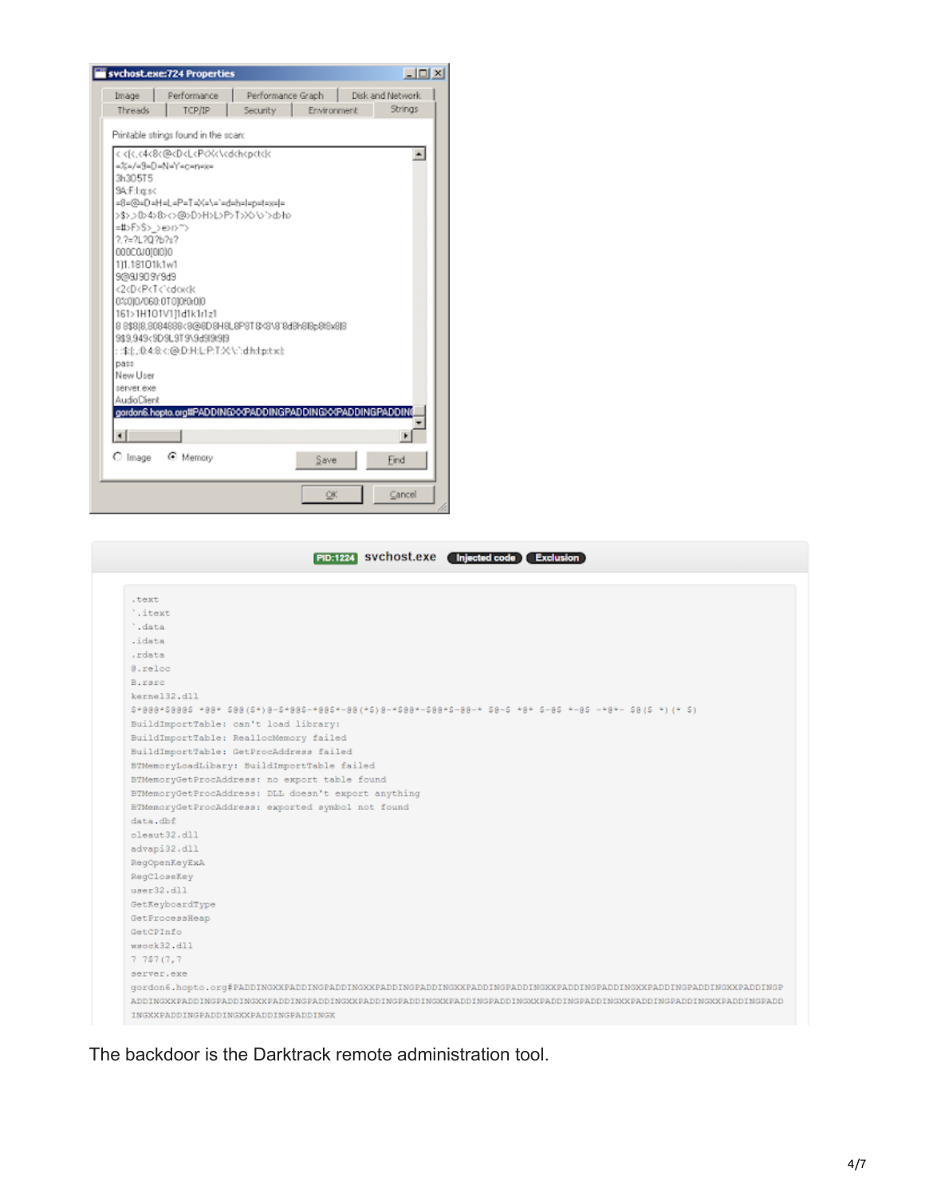| PID:1224 SVChost.exe (Injected code)<br><b>Exclusion</b>                                                                  |
|---------------------------------------------------------------------------------------------------------------------------|
| .text                                                                                                                     |
| '.itext                                                                                                                   |
| '.data                                                                                                                    |
| .idata                                                                                                                    |
| .rdata                                                                                                                    |
| @.reloc                                                                                                                   |
| B.rarc                                                                                                                    |
| kerne132.dll                                                                                                              |
| 5*000*50005 *00* 500(5*)0-5*005-*005*-00(*5)0-*500*-500-5-00-* 50-5 *0* 5-05 *-05 -*0*- 50(5 *)(* 5)                      |
| BuildImportTable: can't load library:                                                                                     |
| BuildImportTable: ReallocMemory failed                                                                                    |
| BuildImportTable: GetProcAddress failed                                                                                   |
| BTMemoryLoadLibary: BuildImportTable failed                                                                               |
| BTMemoryGetProcAddress: no export table found                                                                             |
| BTMemoryGetProcAddress: DLL doesn't export anything                                                                       |
| BTMemoryGetProcAddress: exported symbol not found                                                                         |
| $data$ . dbf                                                                                                              |
| oleaut32.dll                                                                                                              |
| advapi32.dll                                                                                                              |
| RegOpenKeyExA                                                                                                             |
| RegCloseKey                                                                                                               |
| user32.dll                                                                                                                |
| GetKeyboardType                                                                                                           |
| GetProcessHeap                                                                                                            |
| GetCPInfo                                                                                                                 |
| wacck32.dll                                                                                                               |
| 7757(7,7)                                                                                                                 |
| server.exe                                                                                                                |
| gordon6.hopto.org#PADDINGXXPADDINGPADDINGXXPADDINGPADDINGXXPADDINGPADDINGXXPADDINGPADDINGXXPADDINGPADDINGPADDINGXXPADDING |
| ADDINGXXPADDINGPADDINGXXPADDINGPADDINGXXPADDINGPADDINGXXPADDINGPADDINGXXPADDINGPADDINGXXPADDINGPADDINGXXPADDINGXXPADDI    |
| INGXXPADDINGPADDINGXXPADDINGPADDINGX                                                                                      |

The backdoor is the Darktrack remote administration tool.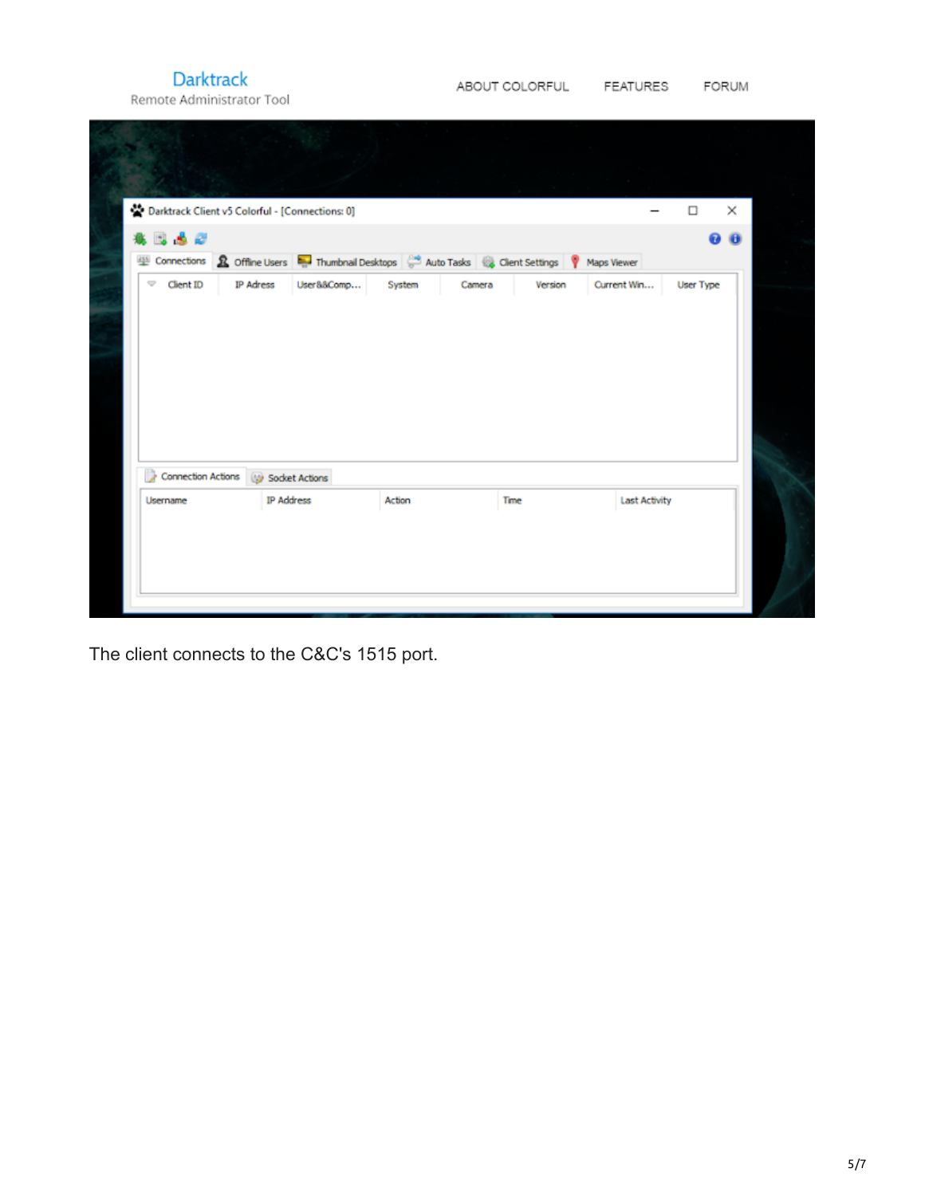**Darktrack** Remote Administrator Tool

| Darktrack Client v5 Colorful - [Connections: 0]<br>8. D. S. 67 |                   |                                                                                                                                       |        |      |                      | $\Box$ | $\times$<br>89 W |
|----------------------------------------------------------------|-------------------|---------------------------------------------------------------------------------------------------------------------------------------|--------|------|----------------------|--------|------------------|
|                                                                |                   | Connections & Offine Users <b>Thumbnal Desktops</b> $\frac{104}{6}$ Auto Tasks $\frac{103}{100}$ Client Settings <b>Y</b> Maps Viewer |        |      |                      |        |                  |
|                                                                |                   |                                                                                                                                       |        |      |                      |        |                  |
| Connection Actions                                             | Socket Actions    |                                                                                                                                       |        |      |                      |        |                  |
| Username                                                       | <b>IP Address</b> |                                                                                                                                       | Action | Time | <b>Last Activity</b> |        |                  |

The client connects to the C&C's 1515 port.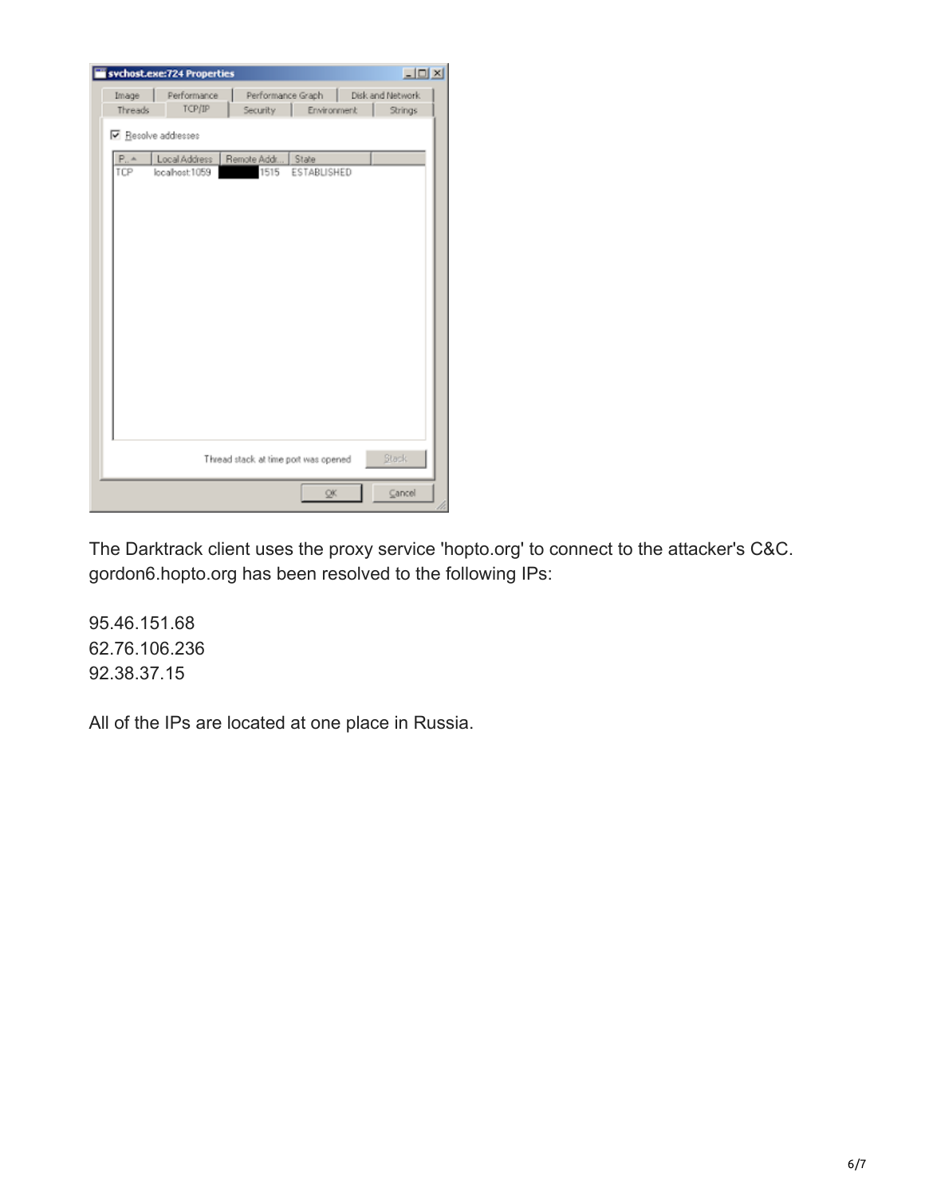|                   | sychost.exe:724 Properties |                                      |                                       |  | $\Box$ ulxi |  |
|-------------------|----------------------------|--------------------------------------|---------------------------------------|--|-------------|--|
| Image             | Performance                |                                      | Performance Graph<br>Disk and Network |  |             |  |
| Threads           | TCP/IP                     | Security                             | Environment                           |  | Strings     |  |
| Resolve addresses |                            |                                      |                                       |  |             |  |
| $P_{11}$ $A$      | Local Address              | Remote Addr                          | State                                 |  |             |  |
| TCP               | localhost:1059             | 1515                                 | ESTABLISHED                           |  |             |  |
|                   |                            |                                      |                                       |  |             |  |
|                   |                            |                                      |                                       |  |             |  |
|                   |                            |                                      |                                       |  |             |  |
|                   |                            |                                      |                                       |  |             |  |
|                   |                            |                                      |                                       |  |             |  |
|                   |                            |                                      |                                       |  |             |  |
|                   |                            |                                      |                                       |  |             |  |
|                   |                            |                                      |                                       |  |             |  |
|                   |                            |                                      |                                       |  |             |  |
|                   |                            |                                      |                                       |  |             |  |
|                   |                            |                                      |                                       |  |             |  |
|                   |                            |                                      |                                       |  |             |  |
|                   |                            |                                      |                                       |  |             |  |
|                   |                            |                                      |                                       |  |             |  |
|                   |                            |                                      |                                       |  |             |  |
|                   |                            | Thread stack at time port was opened |                                       |  | Stack.      |  |
|                   |                            |                                      |                                       |  |             |  |
|                   |                            |                                      | QK.                                   |  | Cancel      |  |

The Darktrack client uses the proxy service 'hopto.org' to connect to the attacker's C&C. gordon6.hopto.org has been resolved to the following IPs:

95.46.151.68 62.76.106.236 92.38.37.15

All of the IPs are located at one place in Russia.